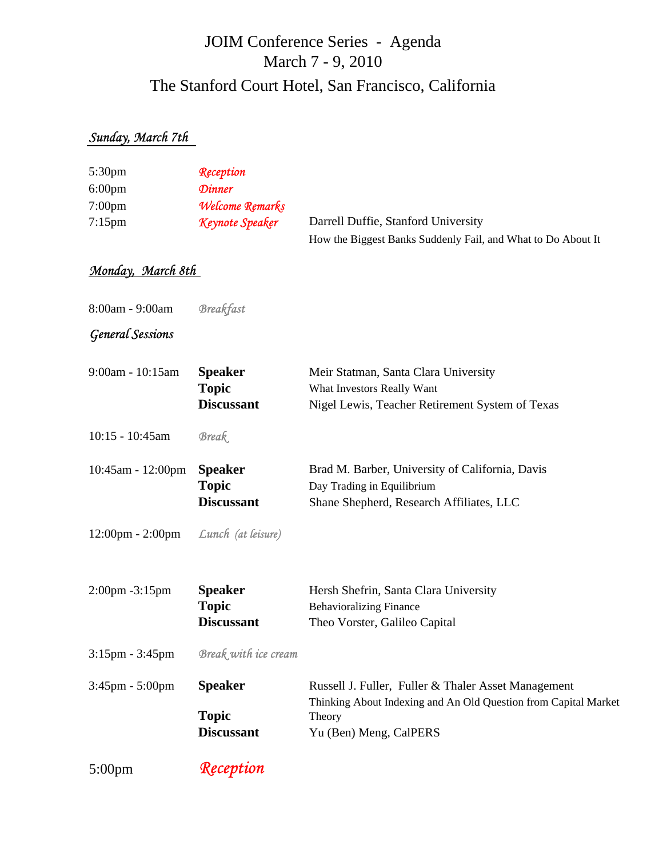# JOIM Conference Series - Agenda The Stanford Court Hotel, San Francisco, California March 7 - 9, 2010

### *Sunday, March 7th*

| $5:30 \text{pm}$   | Reception                     |                                                              |
|--------------------|-------------------------------|--------------------------------------------------------------|
| $6:00 \text{pm}$   | <b>Dinner</b>                 |                                                              |
| 7:00 <sub>pm</sub> | <i><b>Welcome Remarks</b></i> |                                                              |
| $7:15$ pm          | Keynote Speaker               | Darrell Duffie, Stanford University                          |
|                    |                               | How the Biggest Banks Suddenly Fail, and What to Do About It |

## *Monday, March 8th*

8:00am - 9:00am *Breakfast*

#### *General Sessions*

| 9:00am - 10:15am                   | <b>Speaker</b><br><b>Topic</b><br><b>Discussant</b> | Meir Statman, Santa Clara University<br>What Investors Really Want<br>Nigel Lewis, Teacher Retirement System of Texas                                      |
|------------------------------------|-----------------------------------------------------|------------------------------------------------------------------------------------------------------------------------------------------------------------|
| 10:15 - 10:45am                    | <b>Break</b>                                        |                                                                                                                                                            |
| 10:45am - 12:00pm                  | <b>Speaker</b><br><b>Topic</b><br><b>Discussant</b> | Brad M. Barber, University of California, Davis<br>Day Trading in Equilibrium<br>Shane Shepherd, Research Affiliates, LLC                                  |
| $12:00 \text{pm} - 2:00 \text{pm}$ | Lunch (at leisure)                                  |                                                                                                                                                            |
| 2:00pm -3:15pm                     | <b>Speaker</b><br><b>Topic</b><br><b>Discussant</b> | Hersh Shefrin, Santa Clara University<br><b>Behavioralizing Finance</b><br>Theo Vorster, Galileo Capital                                                   |
| $3:15 \text{pm} - 3:45 \text{pm}$  | Break with ice cream                                |                                                                                                                                                            |
| $3:45$ pm - $5:00$ pm              | <b>Speaker</b><br><b>Topic</b><br><b>Discussant</b> | Russell J. Fuller, Fuller & Thaler Asset Management<br>Thinking About Indexing and An Old Question from Capital Market<br>Theory<br>Yu (Ben) Meng, CalPERS |
|                                    |                                                     |                                                                                                                                                            |

5:00pm *Reception*